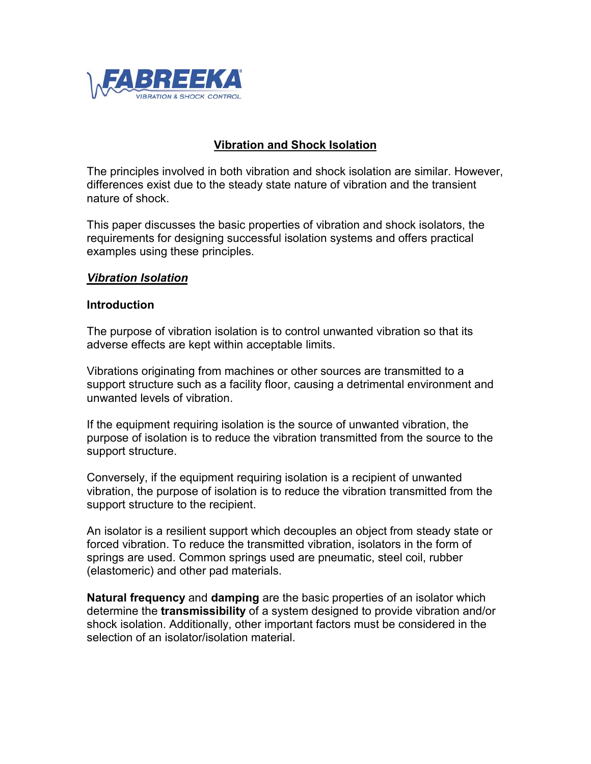

## **Vibration and Shock Isolation**

The principles involved in both vibration and shock isolation are similar. However, differences exist due to the steady state nature of vibration and the transient nature of shock.

This paper discusses the basic properties of vibration and shock isolators, the requirements for designing successful isolation systems and offers practical examples using these principles.

#### *Vibration Isolation*

#### **Introduction**

The purpose of vibration isolation is to control unwanted vibration so that its adverse effects are kept within acceptable limits.

Vibrations originating from machines or other sources are transmitted to a support structure such as a facility floor, causing a detrimental environment and unwanted levels of vibration.

If the equipment requiring isolation is the source of unwanted vibration, the purpose of isolation is to reduce the vibration transmitted from the source to the support structure.

Conversely, if the equipment requiring isolation is a recipient of unwanted vibration, the purpose of isolation is to reduce the vibration transmitted from the support structure to the recipient.

An isolator is a resilient support which decouples an object from steady state or forced vibration. To reduce the transmitted vibration, isolators in the form of springs are used. Common springs used are pneumatic, steel coil, rubber (elastomeric) and other pad materials.

**Natural frequency** and **damping** are the basic properties of an isolator which determine the **transmissibility** of a system designed to provide vibration and/or shock isolation. Additionally, other important factors must be considered in the selection of an isolator/isolation material.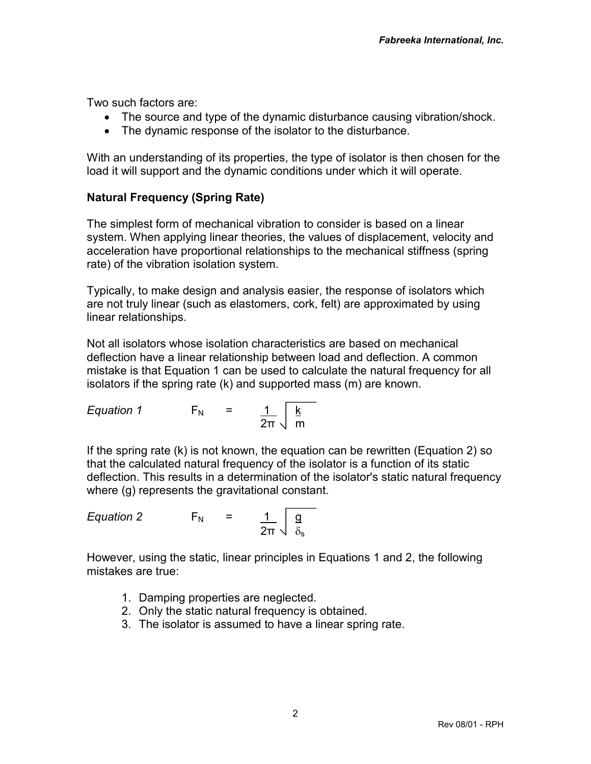Two such factors are:

- The source and type of the dynamic disturbance causing vibration/shock.
- The dynamic response of the isolator to the disturbance.

With an understanding of its properties, the type of isolator is then chosen for the load it will support and the dynamic conditions under which it will operate.

# **Natural Frequency (Spring Rate)**

The simplest form of mechanical vibration to consider is based on a linear system. When applying linear theories, the values of displacement, velocity and acceleration have proportional relationships to the mechanical stiffness (spring rate) of the vibration isolation system.

Typically, to make design and analysis easier, the response of isolators which are not truly linear (such as elastomers, cork, felt) are approximated by using linear relationships.

Not all isolators whose isolation characteristics are based on mechanical deflection have a linear relationship between load and deflection. A common mistake is that Equation 1 can be used to calculate the natural frequency for all isolators if the spring rate (k) and supported mass (m) are known.

Equation 1 
$$
F_N = \frac{1}{2\pi} \sqrt{\frac{k}{m}}
$$

If the spring rate (k) is not known, the equation can be rewritten (Equation 2) so that the calculated natural frequency of the isolator is a function of its static deflection. This results in a determination of the isolator's static natural frequency where (g) represents the gravitational constant.

Equation 2 
$$
F_N = \frac{1}{2\pi} \sqrt{\frac{g}{\delta_s}}
$$

However, using the static, linear principles in Equations 1 and 2, the following mistakes are true:

- 1. Damping properties are neglected.
- 2. Only the static natural frequency is obtained.
- 3. The isolator is assumed to have a linear spring rate.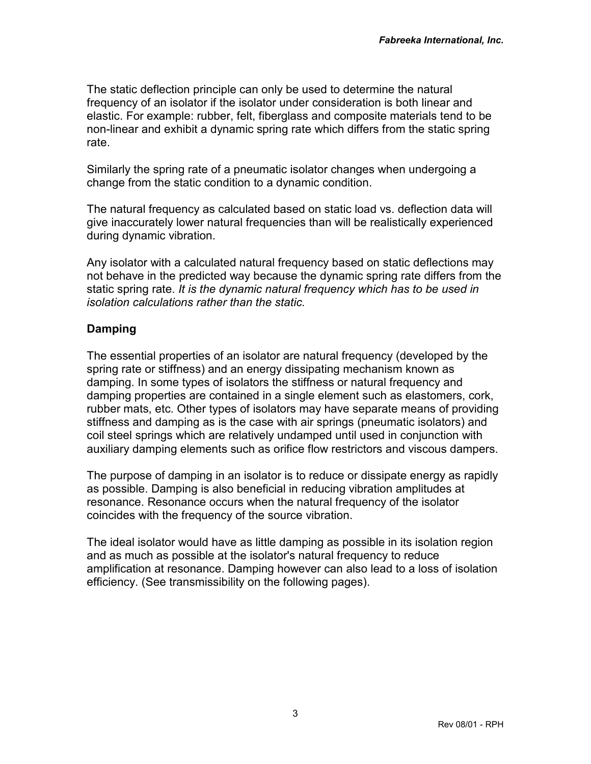The static deflection principle can only be used to determine the natural frequency of an isolator if the isolator under consideration is both linear and elastic. For example: rubber, felt, fiberglass and composite materials tend to be non-linear and exhibit a dynamic spring rate which differs from the static spring rate.

Similarly the spring rate of a pneumatic isolator changes when undergoing a change from the static condition to a dynamic condition.

The natural frequency as calculated based on static load vs. deflection data will give inaccurately lower natural frequencies than will be realistically experienced during dynamic vibration.

Any isolator with a calculated natural frequency based on static deflections may not behave in the predicted way because the dynamic spring rate differs from the static spring rate. *It is the dynamic natural frequency which has to be used in isolation calculations rather than the static.*

## **Damping**

The essential properties of an isolator are natural frequency (developed by the spring rate or stiffness) and an energy dissipating mechanism known as damping. In some types of isolators the stiffness or natural frequency and damping properties are contained in a single element such as elastomers, cork, rubber mats, etc. Other types of isolators may have separate means of providing stiffness and damping as is the case with air springs (pneumatic isolators) and coil steel springs which are relatively undamped until used in conjunction with auxiliary damping elements such as orifice flow restrictors and viscous dampers.

The purpose of damping in an isolator is to reduce or dissipate energy as rapidly as possible. Damping is also beneficial in reducing vibration amplitudes at resonance. Resonance occurs when the natural frequency of the isolator coincides with the frequency of the source vibration.

The ideal isolator would have as little damping as possible in its isolation region and as much as possible at the isolator's natural frequency to reduce amplification at resonance. Damping however can also lead to a loss of isolation efficiency. (See transmissibility on the following pages).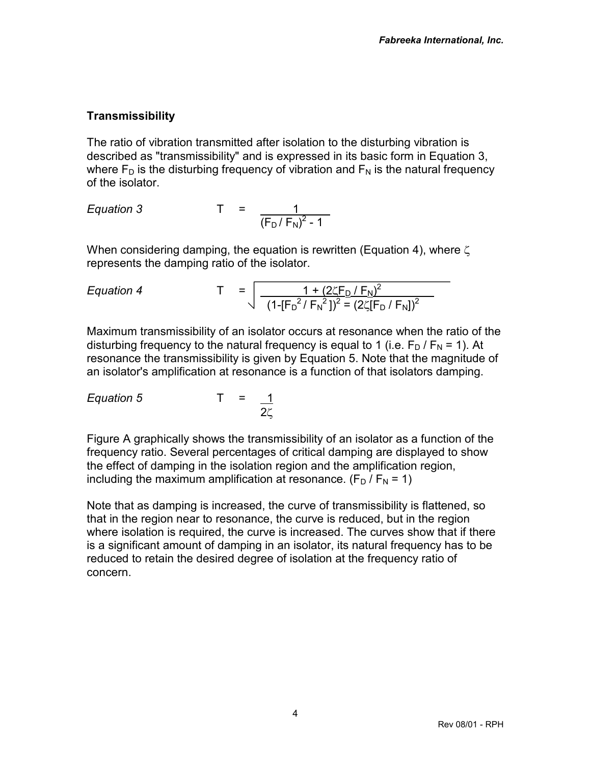# **Transmissibility**

The ratio of vibration transmitted after isolation to the disturbing vibration is described as "transmissibility" and is expressed in its basic form in Equation 3, where  $F_D$  is the disturbing frequency of vibration and  $F_N$  is the natural frequency of the isolator.

Equation 3 
$$
T = \frac{1}{(F_D/F_N)^2 - 1}
$$

When considering damping, the equation is rewritten (Equation 4), where  $\zeta$ represents the damping ratio of the isolator.

Equation 4 
$$
T = \sqrt{\frac{1 + (2\zeta F_D/F_N)^2}{(1 - [F_D^2/F_N^2])^2 = (2\zeta [F_D/F_N])^2}}
$$

Maximum transmissibility of an isolator occurs at resonance when the ratio of the disturbing frequency to the natural frequency is equal to 1 (i.e.  $F_D / F_N = 1$ ). At resonance the transmissibility is given by Equation 5. Note that the magnitude of an isolator's amplification at resonance is a function of that isolators damping.

*Equation 5* T = 1  $2\zeta$ 

Figure A graphically shows the transmissibility of an isolator as a function of the frequency ratio. Several percentages of critical damping are displayed to show the effect of damping in the isolation region and the amplification region, including the maximum amplification at resonance.  $(F_D / F_N = 1)$ 

Note that as damping is increased, the curve of transmissibility is flattened, so that in the region near to resonance, the curve is reduced, but in the region where isolation is required, the curve is increased. The curves show that if there is a significant amount of damping in an isolator, its natural frequency has to be reduced to retain the desired degree of isolation at the frequency ratio of concern.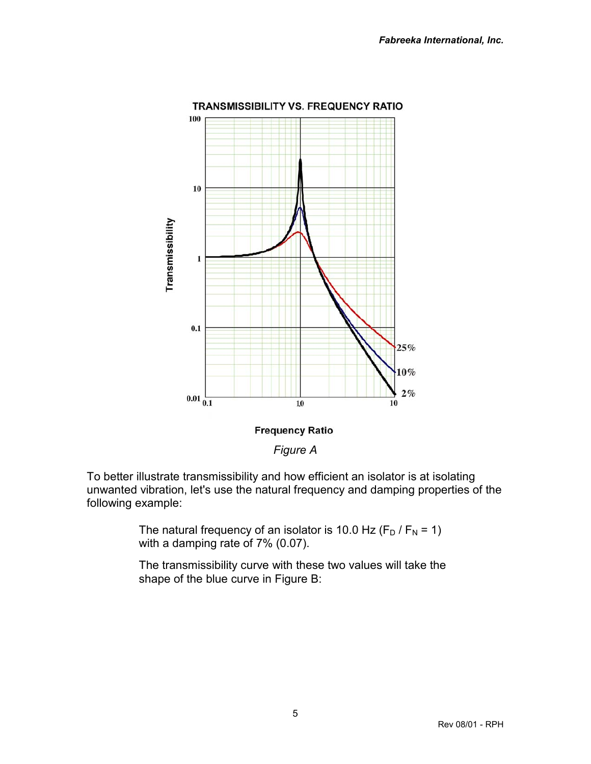

*Figure A*

To better illustrate transmissibility and how efficient an isolator is at isolating unwanted vibration, let's use the natural frequency and damping properties of the following example:

> The natural frequency of an isolator is 10.0 Hz  $(F_D / F_N = 1)$ with a damping rate of 7% (0.07).

The transmissibility curve with these two values will take the shape of the blue curve in Figure B: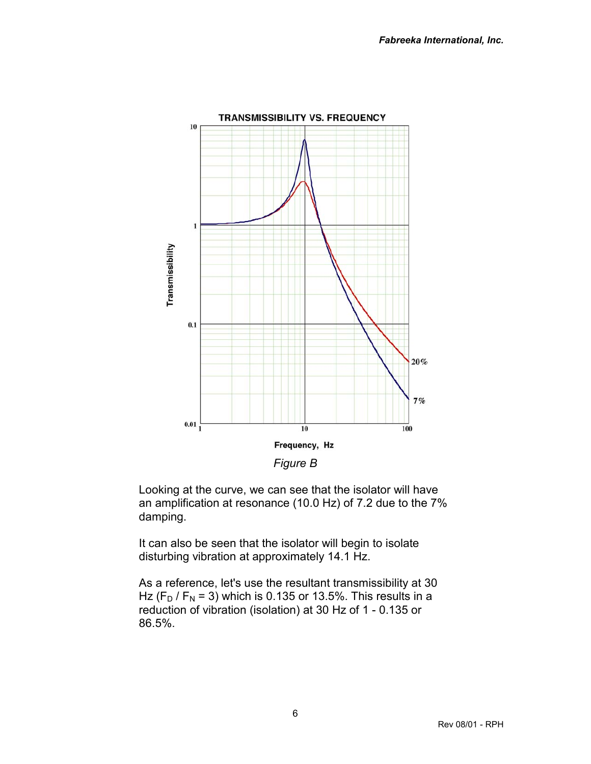

Looking at the curve, we can see that the isolator will have an amplification at resonance (10.0 Hz) of 7.2 due to the 7% damping.

It can also be seen that the isolator will begin to isolate disturbing vibration at approximately 14.1 Hz.

As a reference, let's use the resultant transmissibility at 30 Hz ( $F_D$  /  $F_N$  = 3) which is 0.135 or 13.5%. This results in a reduction of vibration (isolation) at 30 Hz of 1 - 0.135 or 86.5%.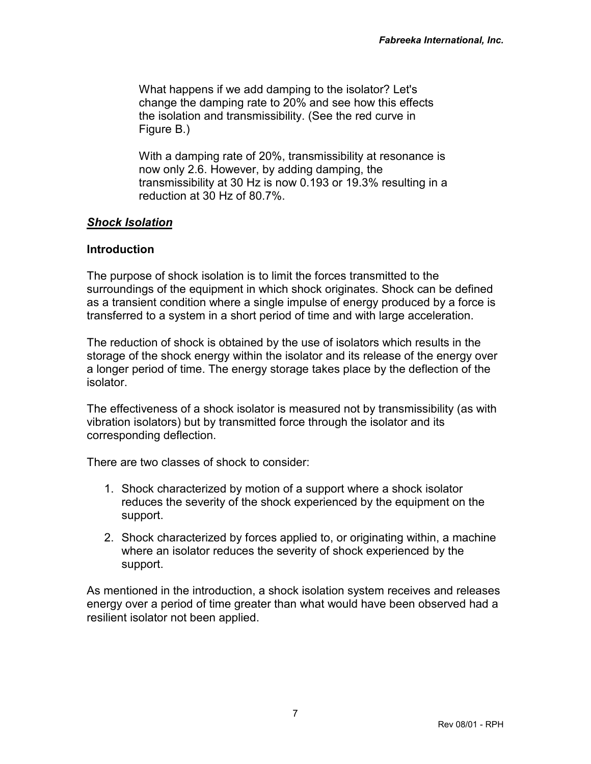What happens if we add damping to the isolator? Let's change the damping rate to 20% and see how this effects the isolation and transmissibility. (See the red curve in Figure B.)

With a damping rate of 20%, transmissibility at resonance is now only 2.6. However, by adding damping, the transmissibility at 30 Hz is now 0.193 or 19.3% resulting in a reduction at 30 Hz of 80.7%.

### *Shock Isolation*

### **Introduction**

The purpose of shock isolation is to limit the forces transmitted to the surroundings of the equipment in which shock originates. Shock can be defined as a transient condition where a single impulse of energy produced by a force is transferred to a system in a short period of time and with large acceleration.

The reduction of shock is obtained by the use of isolators which results in the storage of the shock energy within the isolator and its release of the energy over a longer period of time. The energy storage takes place by the deflection of the isolator.

The effectiveness of a shock isolator is measured not by transmissibility (as with vibration isolators) but by transmitted force through the isolator and its corresponding deflection.

There are two classes of shock to consider:

- 1. Shock characterized by motion of a support where a shock isolator reduces the severity of the shock experienced by the equipment on the support.
- 2. Shock characterized by forces applied to, or originating within, a machine where an isolator reduces the severity of shock experienced by the support.

As mentioned in the introduction, a shock isolation system receives and releases energy over a period of time greater than what would have been observed had a resilient isolator not been applied.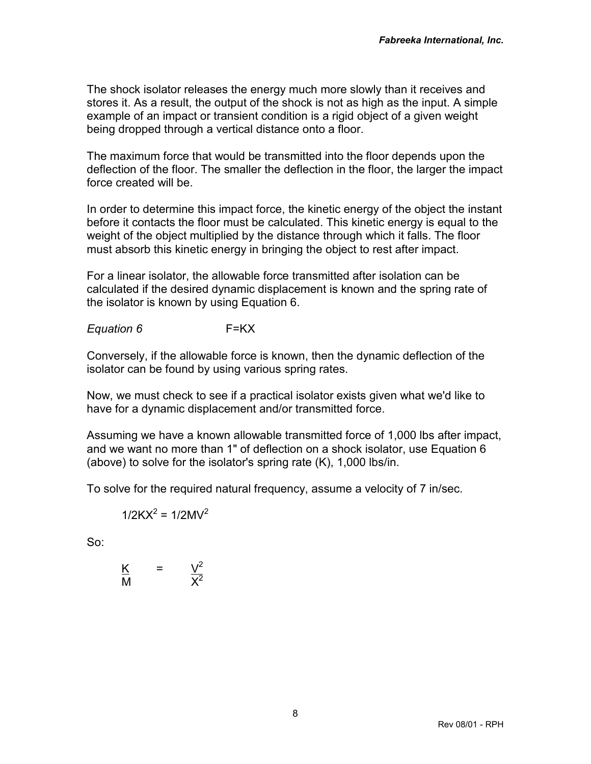The shock isolator releases the energy much more slowly than it receives and stores it. As a result, the output of the shock is not as high as the input. A simple example of an impact or transient condition is a rigid object of a given weight being dropped through a vertical distance onto a floor.

The maximum force that would be transmitted into the floor depends upon the deflection of the floor. The smaller the deflection in the floor, the larger the impact force created will be.

In order to determine this impact force, the kinetic energy of the object the instant before it contacts the floor must be calculated. This kinetic energy is equal to the weight of the object multiplied by the distance through which it falls. The floor must absorb this kinetic energy in bringing the object to rest after impact.

For a linear isolator, the allowable force transmitted after isolation can be calculated if the desired dynamic displacement is known and the spring rate of the isolator is known by using Equation 6.

*Equation 6* F=KX

Conversely, if the allowable force is known, then the dynamic deflection of the isolator can be found by using various spring rates.

Now, we must check to see if a practical isolator exists given what we'd like to have for a dynamic displacement and/or transmitted force.

Assuming we have a known allowable transmitted force of 1,000 lbs after impact, and we want no more than 1" of deflection on a shock isolator, use Equation 6 (above) to solve for the isolator's spring rate (K), 1,000 lbs/in.

To solve for the required natural frequency, assume a velocity of 7 in/sec.

 $1/2KX^2 = 1/2MV^2$ 

So:

$$
\frac{K}{M} = \frac{V^2}{X^2}
$$